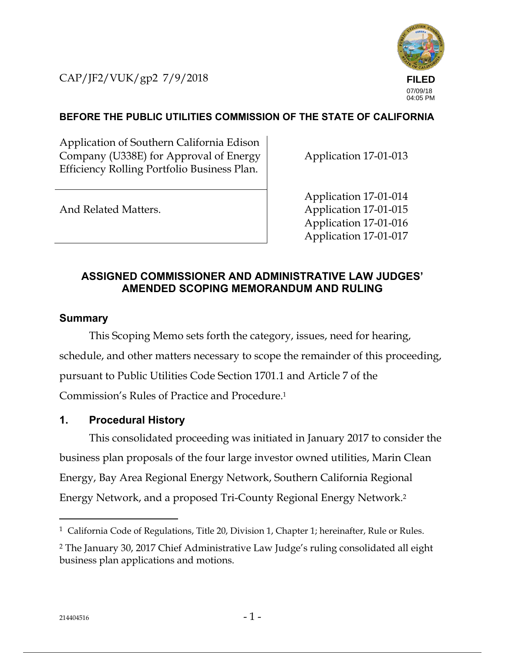CAP/JF2/VUK/gp2 7/9/2018



# **BEFORE THE PUBLIC UTILITIES COMMISSION OF THE STATE OF CALIFORNIA**

Application of Southern California Edison Company (U338E) for Approval of Energy Efficiency Rolling Portfolio Business Plan.

Application 17-01-013

And Related Matters.

Application 17-01-014 Application 17-01-015 Application 17-01-016 Application 17-01-017

# **ASSIGNED COMMISSIONER AND ADMINISTRATIVE LAW JUDGES' AMENDED SCOPING MEMORANDUM AND RULING**

## **Summary**

This Scoping Memo sets forth the category, issues, need for hearing, schedule, and other matters necessary to scope the remainder of this proceeding, pursuant to Public Utilities Code Section 1701.1 and Article 7 of the Commission's Rules of Practice and Procedure.1

## **1. Procedural History**

This consolidated proceeding was initiated in January 2017 to consider the business plan proposals of the four large investor owned utilities, Marin Clean Energy, Bay Area Regional Energy Network, Southern California Regional Energy Network, and a proposed Tri-County Regional Energy Network.2

-

<sup>&</sup>lt;sup>1</sup> California Code of Regulations, Title 20, Division 1, Chapter 1; hereinafter, Rule or Rules.

<sup>2</sup> The January 30, 2017 Chief Administrative Law Judge's ruling consolidated all eight business plan applications and motions.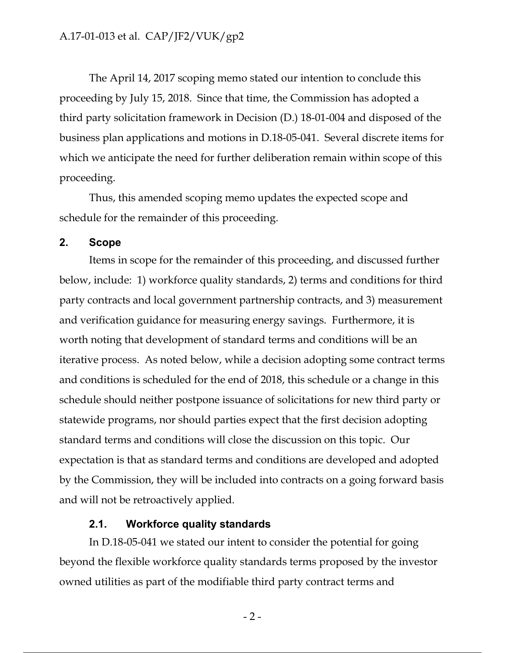The April 14, 2017 scoping memo stated our intention to conclude this proceeding by July 15, 2018. Since that time, the Commission has adopted a third party solicitation framework in Decision (D.) 18-01-004 and disposed of the business plan applications and motions in D.18-05-041. Several discrete items for which we anticipate the need for further deliberation remain within scope of this proceeding.

Thus, this amended scoping memo updates the expected scope and schedule for the remainder of this proceeding.

#### **2. Scope**

Items in scope for the remainder of this proceeding, and discussed further below, include: 1) workforce quality standards, 2) terms and conditions for third party contracts and local government partnership contracts, and 3) measurement and verification guidance for measuring energy savings. Furthermore, it is worth noting that development of standard terms and conditions will be an iterative process. As noted below, while a decision adopting some contract terms and conditions is scheduled for the end of 2018, this schedule or a change in this schedule should neither postpone issuance of solicitations for new third party or statewide programs, nor should parties expect that the first decision adopting standard terms and conditions will close the discussion on this topic. Our expectation is that as standard terms and conditions are developed and adopted by the Commission, they will be included into contracts on a going forward basis and will not be retroactively applied.

#### **2.1. Workforce quality standards**

In D.18-05-041 we stated our intent to consider the potential for going beyond the flexible workforce quality standards terms proposed by the investor owned utilities as part of the modifiable third party contract terms and

 $-2-$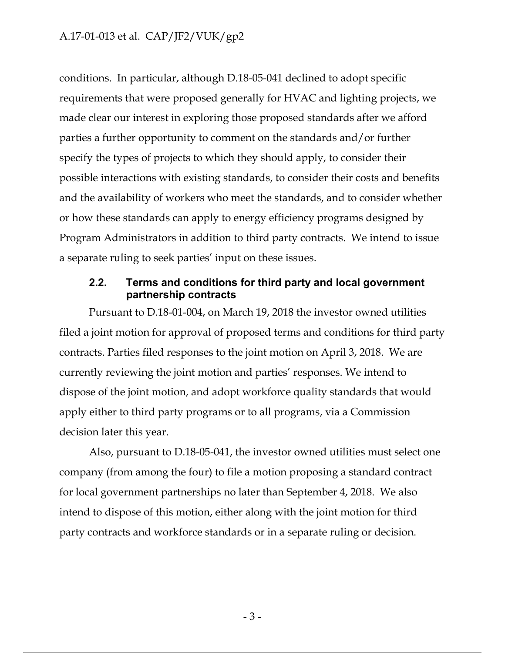conditions. In particular, although D.18-05-041 declined to adopt specific requirements that were proposed generally for HVAC and lighting projects, we made clear our interest in exploring those proposed standards after we afford parties a further opportunity to comment on the standards and/or further specify the types of projects to which they should apply, to consider their possible interactions with existing standards, to consider their costs and benefits and the availability of workers who meet the standards, and to consider whether or how these standards can apply to energy efficiency programs designed by Program Administrators in addition to third party contracts. We intend to issue a separate ruling to seek parties' input on these issues.

## **2.2. Terms and conditions for third party and local government partnership contracts**

Pursuant to D.18-01-004, on March 19, 2018 the investor owned utilities filed a joint motion for approval of proposed terms and conditions for third party contracts. Parties filed responses to the joint motion on April 3, 2018. We are currently reviewing the joint motion and parties' responses. We intend to dispose of the joint motion, and adopt workforce quality standards that would apply either to third party programs or to all programs, via a Commission decision later this year.

Also, pursuant to D.18-05-041, the investor owned utilities must select one company (from among the four) to file a motion proposing a standard contract for local government partnerships no later than September 4, 2018. We also intend to dispose of this motion, either along with the joint motion for third party contracts and workforce standards or in a separate ruling or decision.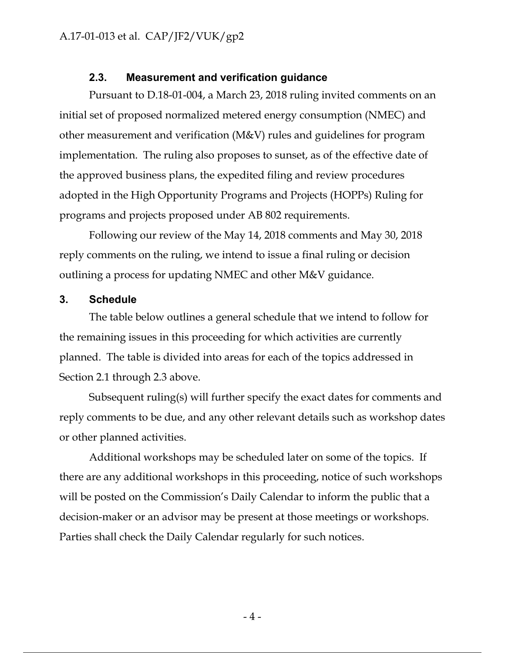## **2.3. Measurement and verification guidance**

Pursuant to D.18-01-004, a March 23, 2018 ruling invited comments on an initial set of proposed normalized metered energy consumption (NMEC) and other measurement and verification (M&V) rules and guidelines for program implementation. The ruling also proposes to sunset, as of the effective date of the approved business plans, the expedited filing and review procedures adopted in the High Opportunity Programs and Projects (HOPPs) Ruling for programs and projects proposed under AB 802 requirements.

Following our review of the May 14, 2018 comments and May 30, 2018 reply comments on the ruling, we intend to issue a final ruling or decision outlining a process for updating NMEC and other M&V guidance.

#### **3. Schedule**

The table below outlines a general schedule that we intend to follow for the remaining issues in this proceeding for which activities are currently planned. The table is divided into areas for each of the topics addressed in Section 2.1 through 2.3 above.

Subsequent ruling(s) will further specify the exact dates for comments and reply comments to be due, and any other relevant details such as workshop dates or other planned activities.

Additional workshops may be scheduled later on some of the topics. If there are any additional workshops in this proceeding, notice of such workshops will be posted on the Commission's Daily Calendar to inform the public that a decision-maker or an advisor may be present at those meetings or workshops. Parties shall check the Daily Calendar regularly for such notices.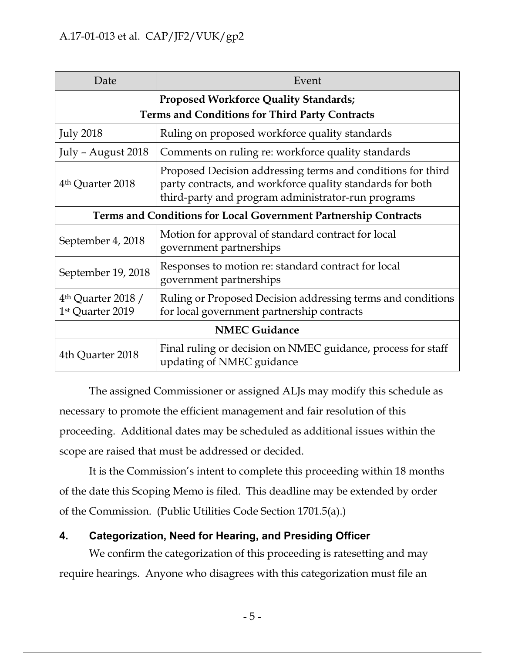| Date                                                            | Event                                                                                                                                                                          |
|-----------------------------------------------------------------|--------------------------------------------------------------------------------------------------------------------------------------------------------------------------------|
| <b>Proposed Workforce Quality Standards;</b>                    |                                                                                                                                                                                |
| <b>Terms and Conditions for Third Party Contracts</b>           |                                                                                                                                                                                |
| <b>July 2018</b>                                                | Ruling on proposed workforce quality standards                                                                                                                                 |
| July - August 2018                                              | Comments on ruling re: workforce quality standards                                                                                                                             |
| 4 <sup>th</sup> Quarter 2018                                    | Proposed Decision addressing terms and conditions for third<br>party contracts, and workforce quality standards for both<br>third-party and program administrator-run programs |
| Terms and Conditions for Local Government Partnership Contracts |                                                                                                                                                                                |
| September 4, 2018                                               | Motion for approval of standard contract for local<br>government partnerships                                                                                                  |
| September 19, 2018                                              | Responses to motion re: standard contract for local<br>government partnerships                                                                                                 |
| $4th$ Quarter 2018 /<br>1st Quarter 2019                        | Ruling or Proposed Decision addressing terms and conditions<br>for local government partnership contracts                                                                      |
| <b>NMEC Guidance</b>                                            |                                                                                                                                                                                |
| 4th Quarter 2018                                                | Final ruling or decision on NMEC guidance, process for staff<br>updating of NMEC guidance                                                                                      |

The assigned Commissioner or assigned ALJs may modify this schedule as necessary to promote the efficient management and fair resolution of this proceeding. Additional dates may be scheduled as additional issues within the scope are raised that must be addressed or decided.

It is the Commission's intent to complete this proceeding within 18 months of the date this Scoping Memo is filed. This deadline may be extended by order of the Commission. (Public Utilities Code Section 1701.5(a).)

# **4. Categorization, Need for Hearing, and Presiding Officer**

We confirm the categorization of this proceeding is ratesetting and may require hearings. Anyone who disagrees with this categorization must file an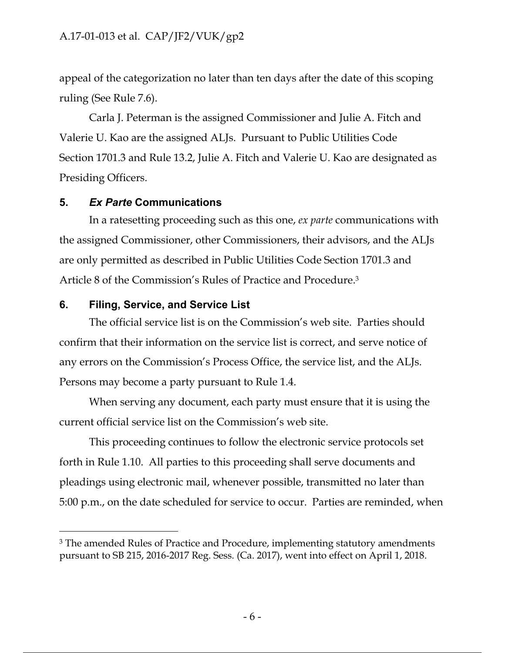appeal of the categorization no later than ten days after the date of this scoping ruling (See Rule 7.6).

Carla J. Peterman is the assigned Commissioner and Julie A. Fitch and Valerie U. Kao are the assigned ALJs. Pursuant to Public Utilities Code Section 1701.3 and Rule 13.2, Julie A. Fitch and Valerie U. Kao are designated as Presiding Officers.

## **5.** *Ex Parte* **Communications**

In a ratesetting proceeding such as this one, *ex parte* communications with the assigned Commissioner, other Commissioners, their advisors, and the ALJs are only permitted as described in Public Utilities Code Section 1701.3 and Article 8 of the Commission's Rules of Practice and Procedure.3

## **6. Filing, Service, and Service List**

 $\overline{a}$ 

The official service list is on the Commission's web site. Parties should confirm that their information on the service list is correct, and serve notice of any errors on the Commission's Process Office, the service list, and the ALJs. Persons may become a party pursuant to Rule 1.4.

When serving any document, each party must ensure that it is using the current official service list on the Commission's web site.

This proceeding continues to follow the electronic service protocols set forth in Rule 1.10. All parties to this proceeding shall serve documents and pleadings using electronic mail, whenever possible, transmitted no later than 5:00 p.m., on the date scheduled for service to occur. Parties are reminded, when

<sup>&</sup>lt;sup>3</sup> The amended Rules of Practice and Procedure, implementing statutory amendments pursuant to SB 215, 2016-2017 Reg. Sess. (Ca. 2017), went into effect on April 1, 2018.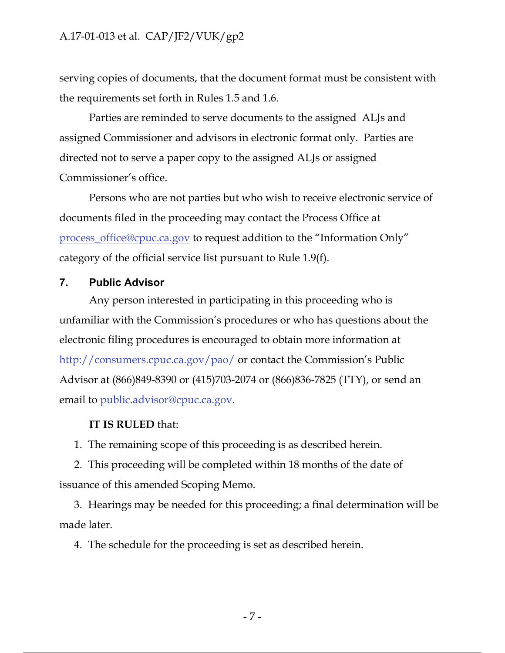serving copies of documents, that the document format must be consistent with the requirements set forth in Rules 1.5 and 1.6.

Parties are reminded to serve documents to the assigned ALJs and assigned Commissioner and advisors in electronic format only. Parties are directed not to serve a paper copy to the assigned ALJs or assigned Commissioner's office.

Persons who are not parties but who wish to receive electronic service of documents filed in the proceeding may contact the Process Office at process\_office@cpuc.ca.gov to request addition to the "Information Only" category of the official service list pursuant to Rule 1.9(f).

## **7. Public Advisor**

Any person interested in participating in this proceeding who is unfamiliar with the Commission's procedures or who has questions about the electronic filing procedures is encouraged to obtain more information at http://consumers.cpuc.ca.gov/pao/ or contact the Commission's Public Advisor at (866)849-8390 or (415)703-2074 or (866)836-7825 (TTY), or send an email to public.advisor@cpuc.ca.gov.

#### **IT IS RULED** that:

1. The remaining scope of this proceeding is as described herein.

2. This proceeding will be completed within 18 months of the date of issuance of this amended Scoping Memo.

3. Hearings may be needed for this proceeding; a final determination will be made later.

4. The schedule for the proceeding is set as described herein.